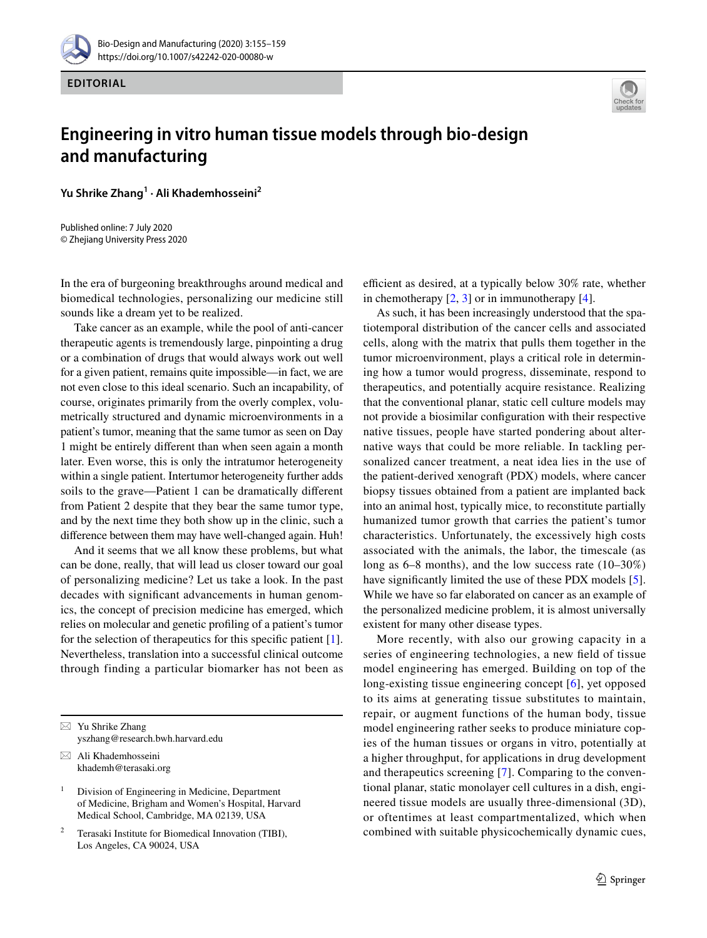

**EDITORIAL**



## **Engineering in vitro human tissue models through bio‑design and manufacturing**

**Yu Shrike Zhang1 · Ali Khademhosseini2**

Published online: 7 July 2020 © Zhejiang University Press 2020

In the era of burgeoning breakthroughs around medical and biomedical technologies, personalizing our medicine still sounds like a dream yet to be realized.

Take cancer as an example, while the pool of anti-cancer therapeutic agents is tremendously large, pinpointing a drug or a combination of drugs that would always work out well for a given patient, remains quite impossible—in fact, we are not even close to this ideal scenario. Such an incapability, of course, originates primarily from the overly complex, volumetrically structured and dynamic microenvironments in a patient's tumor, meaning that the same tumor as seen on Day 1 might be entirely diferent than when seen again a month later. Even worse, this is only the intratumor heterogeneity within a single patient. Intertumor heterogeneity further adds soils to the grave—Patient 1 can be dramatically diferent from Patient 2 despite that they bear the same tumor type, and by the next time they both show up in the clinic, such a diference between them may have well-changed again. Huh!

And it seems that we all know these problems, but what can be done, really, that will lead us closer toward our goal of personalizing medicine? Let us take a look. In the past decades with signifcant advancements in human genomics, the concept of precision medicine has emerged, which relies on molecular and genetic profling of a patient's tumor for the selection of therapeutics for this specifc patient [\[1](#page-2-0)]. Nevertheless, translation into a successful clinical outcome through finding a particular biomarker has not been as

 $\boxtimes$  Ali Khademhosseini khademh@terasaki.org efficient as desired, at a typically below 30% rate, whether in chemotherapy  $[2, 3]$  $[2, 3]$  $[2, 3]$  $[2, 3]$  or in immunotherapy  $[4]$  $[4]$  $[4]$ .

As such, it has been increasingly understood that the spatiotemporal distribution of the cancer cells and associated cells, along with the matrix that pulls them together in the tumor microenvironment, plays a critical role in determining how a tumor would progress, disseminate, respond to therapeutics, and potentially acquire resistance. Realizing that the conventional planar, static cell culture models may not provide a biosimilar confguration with their respective native tissues, people have started pondering about alternative ways that could be more reliable. In tackling personalized cancer treatment, a neat idea lies in the use of the patient-derived xenograft (PDX) models, where cancer biopsy tissues obtained from a patient are implanted back into an animal host, typically mice, to reconstitute partially humanized tumor growth that carries the patient's tumor characteristics. Unfortunately, the excessively high costs associated with the animals, the labor, the timescale (as long as 6–8 months), and the low success rate (10–30%) have significantly limited the use of these PDX models [\[5](#page-3-1)]. While we have so far elaborated on cancer as an example of the personalized medicine problem, it is almost universally existent for many other disease types.

More recently, with also our growing capacity in a series of engineering technologies, a new feld of tissue model engineering has emerged. Building on top of the long-existing tissue engineering concept [[6\]](#page-3-2), yet opposed to its aims at generating tissue substitutes to maintain, repair, or augment functions of the human body, tissue model engineering rather seeks to produce miniature copies of the human tissues or organs in vitro, potentially at a higher throughput, for applications in drug development and therapeutics screening [[7\]](#page-3-3). Comparing to the conventional planar, static monolayer cell cultures in a dish, engineered tissue models are usually three-dimensional (3D), or oftentimes at least compartmentalized, which when combined with suitable physicochemically dynamic cues,

 $\boxtimes$  Yu Shrike Zhang yszhang@research.bwh.harvard.edu

 $1$  Division of Engineering in Medicine, Department of Medicine, Brigham and Women's Hospital, Harvard Medical School, Cambridge, MA 02139, USA

Terasaki Institute for Biomedical Innovation (TIBI), Los Angeles, CA 90024, USA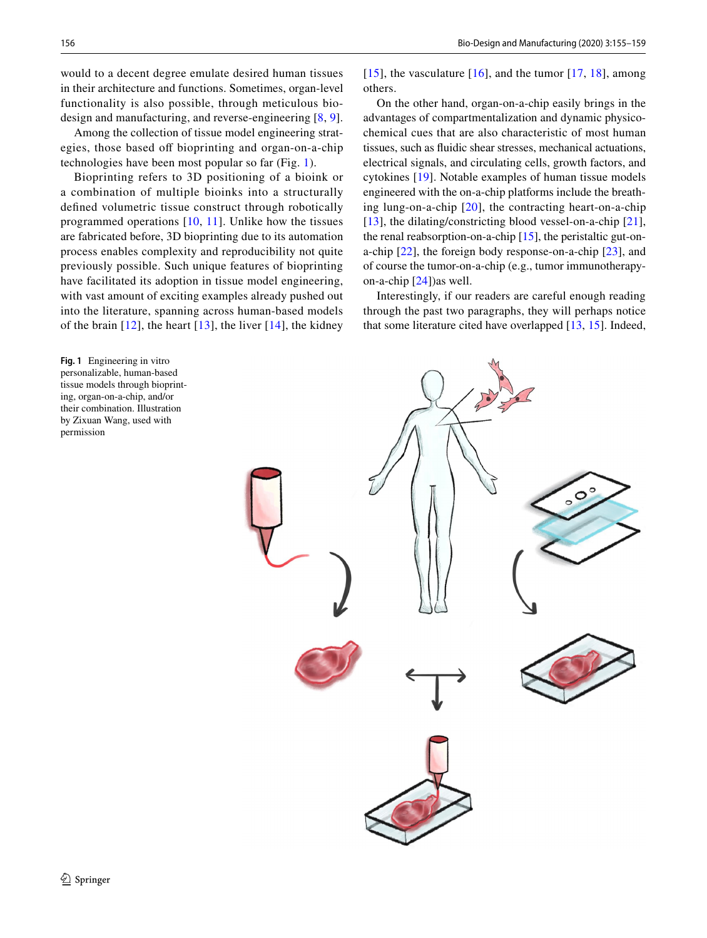would to a decent degree emulate desired human tissues in their architecture and functions. Sometimes, organ-level functionality is also possible, through meticulous biodesign and manufacturing, and reverse-engineering [[8,](#page-3-4) [9](#page-3-5)].

Among the collection of tissue model engineering strategies, those based off bioprinting and organ-on-a-chip technologies have been most popular so far (Fig. [1\)](#page-1-0).

Bioprinting refers to 3D positioning of a bioink or a combination of multiple bioinks into a structurally defned volumetric tissue construct through robotically programmed operations [[10](#page-3-6), [11](#page-3-7)]. Unlike how the tissues are fabricated before, 3D bioprinting due to its automation process enables complexity and reproducibility not quite previously possible. Such unique features of bioprinting have facilitated its adoption in tissue model engineering, with vast amount of exciting examples already pushed out into the literature, spanning across human-based models of the brain  $[12]$ , the heart  $[13]$  $[13]$  $[13]$ , the liver  $[14]$  $[14]$  $[14]$ , the kidney

<span id="page-1-0"></span>**Fig. 1** Engineering in vitro personalizable, human-based tissue models through bioprinting, organ-on-a-chip, and/or their combination. Illustration by Zixuan Wang, used with permission

[[15](#page-3-11)], the vasculature  $[16]$  $[16]$  $[16]$ , and the tumor  $[17, 18]$  $[17, 18]$  $[17, 18]$  $[17, 18]$ , among others.

On the other hand, organ-on-a-chip easily brings in the advantages of compartmentalization and dynamic physicochemical cues that are also characteristic of most human tissues, such as fuidic shear stresses, mechanical actuations, electrical signals, and circulating cells, growth factors, and cytokines [[19\]](#page-3-15). Notable examples of human tissue models engineered with the on-a-chip platforms include the breathing lung-on-a-chip [\[20\]](#page-3-16), the contracting heart-on-a-chip [[13\]](#page-3-9), the dilating/constricting blood vessel-on-a-chip  $[21]$  $[21]$ , the renal reabsorption-on-a-chip  $[15]$  $[15]$ , the peristaltic gut-ona-chip [[22\]](#page-3-18), the foreign body response-on-a-chip [[23\]](#page-3-19), and of course the tumor-on-a-chip (e.g., tumor immunotherapyon-a-chip [[24\]](#page-3-20))as well.

Interestingly, if our readers are careful enough reading through the past two paragraphs, they will perhaps notice that some literature cited have overlapped [\[13,](#page-3-9) [15\]](#page-3-11). Indeed,

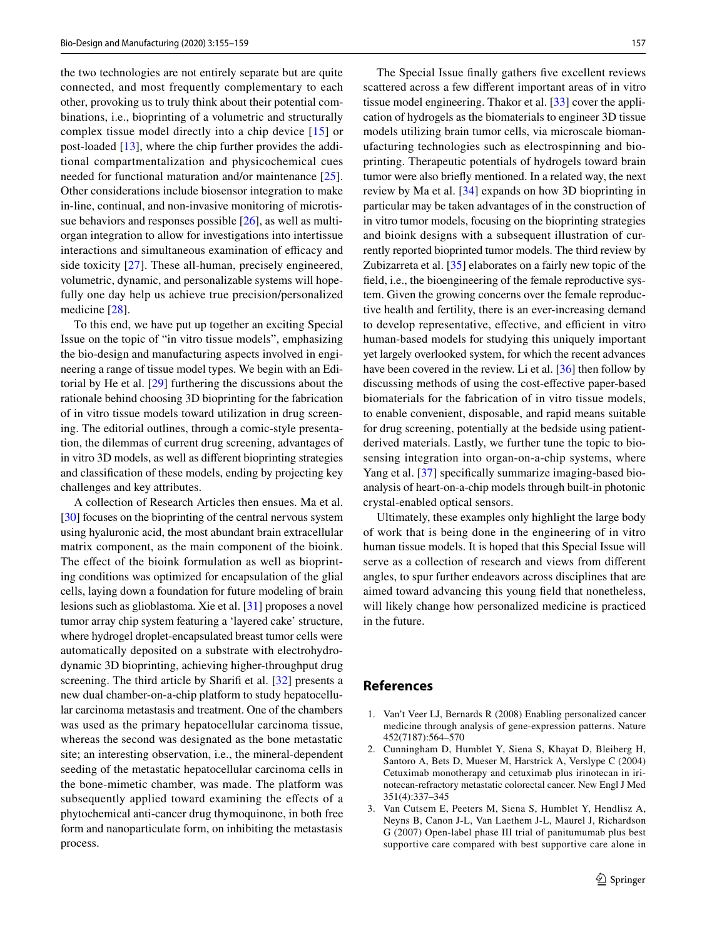the two technologies are not entirely separate but are quite connected, and most frequently complementary to each other, provoking us to truly think about their potential combinations, i.e., bioprinting of a volumetric and structurally complex tissue model directly into a chip device [\[15\]](#page-3-11) or post-loaded [\[13](#page-3-9)], where the chip further provides the additional compartmentalization and physicochemical cues needed for functional maturation and/or maintenance [\[25](#page-3-21)]. Other considerations include biosensor integration to make in-line, continual, and non-invasive monitoring of microtissue behaviors and responses possible [\[26](#page-3-22)], as well as multiorgan integration to allow for investigations into intertissue interactions and simultaneous examination of efficacy and side toxicity [[27](#page-3-23)]. These all-human, precisely engineered, volumetric, dynamic, and personalizable systems will hopefully one day help us achieve true precision/personalized medicine [[28\]](#page-3-24).

To this end, we have put up together an exciting Special Issue on the topic of "in vitro tissue models", emphasizing the bio-design and manufacturing aspects involved in engineering a range of tissue model types. We begin with an Editorial by He et al. [[29](#page-3-25)] furthering the discussions about the rationale behind choosing 3D bioprinting for the fabrication of in vitro tissue models toward utilization in drug screening. The editorial outlines, through a comic-style presentation, the dilemmas of current drug screening, advantages of in vitro 3D models, as well as diferent bioprinting strategies and classifcation of these models, ending by projecting key challenges and key attributes.

A collection of Research Articles then ensues. Ma et al. [\[30](#page-3-26)] focuses on the bioprinting of the central nervous system using hyaluronic acid, the most abundant brain extracellular matrix component, as the main component of the bioink. The effect of the bioink formulation as well as bioprinting conditions was optimized for encapsulation of the glial cells, laying down a foundation for future modeling of brain lesions such as glioblastoma. Xie et al. [\[31\]](#page-3-27) proposes a novel tumor array chip system featuring a 'layered cake' structure, where hydrogel droplet-encapsulated breast tumor cells were automatically deposited on a substrate with electrohydrodynamic 3D bioprinting, achieving higher-throughput drug screening. The third article by Sharifi et al. [[32\]](#page-3-28) presents a new dual chamber-on-a-chip platform to study hepatocellular carcinoma metastasis and treatment. One of the chambers was used as the primary hepatocellular carcinoma tissue, whereas the second was designated as the bone metastatic site; an interesting observation, i.e., the mineral-dependent seeding of the metastatic hepatocellular carcinoma cells in the bone-mimetic chamber, was made. The platform was subsequently applied toward examining the efects of a phytochemical anti-cancer drug thymoquinone, in both free form and nanoparticulate form, on inhibiting the metastasis process.

The Special Issue fnally gathers fve excellent reviews scattered across a few diferent important areas of in vitro tissue model engineering. Thakor et al. [[33\]](#page-3-29) cover the application of hydrogels as the biomaterials to engineer 3D tissue models utilizing brain tumor cells, via microscale biomanufacturing technologies such as electrospinning and bioprinting. Therapeutic potentials of hydrogels toward brain tumor were also briefy mentioned. In a related way, the next review by Ma et al. [[34\]](#page-3-30) expands on how 3D bioprinting in particular may be taken advantages of in the construction of in vitro tumor models, focusing on the bioprinting strategies and bioink designs with a subsequent illustration of currently reported bioprinted tumor models. The third review by Zubizarreta et al. [[35\]](#page-4-0) elaborates on a fairly new topic of the feld, i.e., the bioengineering of the female reproductive system. Given the growing concerns over the female reproductive health and fertility, there is an ever-increasing demand to develop representative, effective, and efficient in vitro human-based models for studying this uniquely important yet largely overlooked system, for which the recent advances have been covered in the review. Li et al. [[36\]](#page-4-1) then follow by discussing methods of using the cost-efective paper-based biomaterials for the fabrication of in vitro tissue models, to enable convenient, disposable, and rapid means suitable for drug screening, potentially at the bedside using patientderived materials. Lastly, we further tune the topic to biosensing integration into organ-on-a-chip systems, where Yang et al. [[37](#page-4-2)] specifically summarize imaging-based bioanalysis of heart-on-a-chip models through built-in photonic crystal-enabled optical sensors.

Ultimately, these examples only highlight the large body of work that is being done in the engineering of in vitro human tissue models. It is hoped that this Special Issue will serve as a collection of research and views from diferent angles, to spur further endeavors across disciplines that are aimed toward advancing this young feld that nonetheless, will likely change how personalized medicine is practiced in the future.

## **References**

- <span id="page-2-0"></span>1. Van't Veer LJ, Bernards R (2008) Enabling personalized cancer medicine through analysis of gene-expression patterns. Nature 452(7187):564–570
- <span id="page-2-1"></span>2. Cunningham D, Humblet Y, Siena S, Khayat D, Bleiberg H, Santoro A, Bets D, Mueser M, Harstrick A, Verslype C (2004) Cetuximab monotherapy and cetuximab plus irinotecan in irinotecan-refractory metastatic colorectal cancer. New Engl J Med 351(4):337–345
- <span id="page-2-2"></span>3. Van Cutsem E, Peeters M, Siena S, Humblet Y, Hendlisz A, Neyns B, Canon J-L, Van Laethem J-L, Maurel J, Richardson G (2007) Open-label phase III trial of panitumumab plus best supportive care compared with best supportive care alone in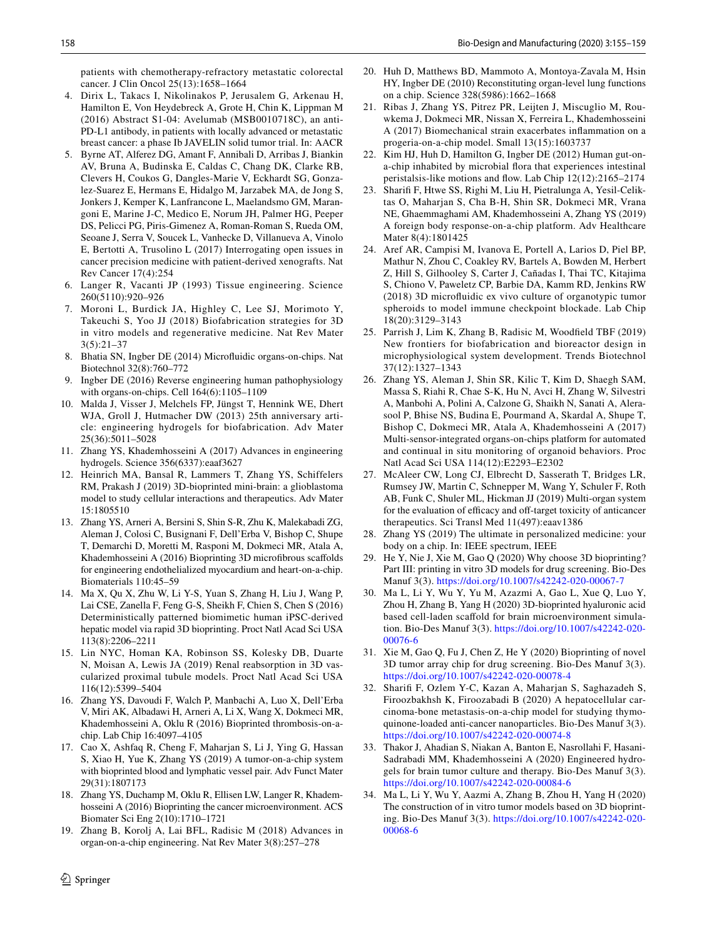patients with chemotherapy-refractory metastatic colorectal cancer. J Clin Oncol 25(13):1658–1664

- <span id="page-3-0"></span>4. Dirix L, Takacs I, Nikolinakos P, Jerusalem G, Arkenau H, Hamilton E, Von Heydebreck A, Grote H, Chin K, Lippman M (2016) Abstract S1-04: Avelumab (MSB0010718C), an anti-PD-L1 antibody, in patients with locally advanced or metastatic breast cancer: a phase Ib JAVELIN solid tumor trial. In: AACR
- <span id="page-3-1"></span>5. Byrne AT, Alferez DG, Amant F, Annibali D, Arribas J, Biankin AV, Bruna A, Budinska E, Caldas C, Chang DK, Clarke RB, Clevers H, Coukos G, Dangles-Marie V, Eckhardt SG, Gonzalez-Suarez E, Hermans E, Hidalgo M, Jarzabek MA, de Jong S, Jonkers J, Kemper K, Lanfrancone L, Maelandsmo GM, Marangoni E, Marine J-C, Medico E, Norum JH, Palmer HG, Peeper DS, Pelicci PG, Piris-Gimenez A, Roman-Roman S, Rueda OM, Seoane J, Serra V, Soucek L, Vanhecke D, Villanueva A, Vinolo E, Bertotti A, Trusolino L (2017) Interrogating open issues in cancer precision medicine with patient-derived xenografts. Nat Rev Cancer 17(4):254
- <span id="page-3-2"></span>6. Langer R, Vacanti JP (1993) Tissue engineering. Science 260(5110):920–926
- <span id="page-3-3"></span>7. Moroni L, Burdick JA, Highley C, Lee SJ, Morimoto Y, Takeuchi S, Yoo JJ (2018) Biofabrication strategies for 3D in vitro models and regenerative medicine. Nat Rev Mater 3(5):21–37
- <span id="page-3-4"></span>8. Bhatia SN, Ingber DE (2014) Microfuidic organs-on-chips. Nat Biotechnol 32(8):760–772
- <span id="page-3-5"></span>9. Ingber DE (2016) Reverse engineering human pathophysiology with organs-on-chips. Cell 164(6):1105–1109
- <span id="page-3-6"></span>10. Malda J, Visser J, Melchels FP, Jüngst T, Hennink WE, Dhert WJA, Groll J, Hutmacher DW (2013) 25th anniversary article: engineering hydrogels for biofabrication. Adv Mater 25(36):5011–5028
- <span id="page-3-7"></span>11. Zhang YS, Khademhosseini A (2017) Advances in engineering hydrogels. Science 356(6337):eaaf3627
- <span id="page-3-8"></span>12. Heinrich MA, Bansal R, Lammers T, Zhang YS, Schiffelers RM, Prakash J (2019) 3D-bioprinted mini-brain: a glioblastoma model to study cellular interactions and therapeutics. Adv Mater 15:1805510
- <span id="page-3-9"></span>13. Zhang YS, Arneri A, Bersini S, Shin S-R, Zhu K, Malekabadi ZG, Aleman J, Colosi C, Busignani F, Dell'Erba V, Bishop C, Shupe T, Demarchi D, Moretti M, Rasponi M, Dokmeci MR, Atala A, Khademhosseini A (2016) Bioprinting 3D microfbrous scafolds for engineering endothelialized myocardium and heart-on-a-chip. Biomaterials 110:45–59
- <span id="page-3-10"></span>14. Ma X, Qu X, Zhu W, Li Y-S, Yuan S, Zhang H, Liu J, Wang P, Lai CSE, Zanella F, Feng G-S, Sheikh F, Chien S, Chen S (2016) Deterministically patterned biomimetic human iPSC-derived hepatic model via rapid 3D bioprinting. Proct Natl Acad Sci USA 113(8):2206–2211
- <span id="page-3-11"></span>15. Lin NYC, Homan KA, Robinson SS, Kolesky DB, Duarte N, Moisan A, Lewis JA (2019) Renal reabsorption in 3D vascularized proximal tubule models. Proct Natl Acad Sci USA 116(12):5399–5404
- <span id="page-3-12"></span>16. Zhang YS, Davoudi F, Walch P, Manbachi A, Luo X, Dell'Erba V, Miri AK, Albadawi H, Arneri A, Li X, Wang X, Dokmeci MR, Khademhosseini A, Oklu R (2016) Bioprinted thrombosis-on-achip. Lab Chip 16:4097–4105
- <span id="page-3-13"></span>17. Cao X, Ashfaq R, Cheng F, Maharjan S, Li J, Ying G, Hassan S, Xiao H, Yue K, Zhang YS (2019) A tumor-on-a-chip system with bioprinted blood and lymphatic vessel pair. Adv Funct Mater 29(31):1807173
- <span id="page-3-14"></span>18. Zhang YS, Duchamp M, Oklu R, Ellisen LW, Langer R, Khademhosseini A (2016) Bioprinting the cancer microenvironment. ACS Biomater Sci Eng 2(10):1710–1721
- <span id="page-3-15"></span>19. Zhang B, Korolj A, Lai BFL, Radisic M (2018) Advances in organ-on-a-chip engineering. Nat Rev Mater 3(8):257–278
- <span id="page-3-16"></span>20. Huh D, Matthews BD, Mammoto A, Montoya-Zavala M, Hsin HY, Ingber DE (2010) Reconstituting organ-level lung functions on a chip. Science 328(5986):1662–1668
- <span id="page-3-17"></span>21. Ribas J, Zhang YS, Pitrez PR, Leijten J, Miscuglio M, Rouwkema J, Dokmeci MR, Nissan X, Ferreira L, Khademhosseini A (2017) Biomechanical strain exacerbates infammation on a progeria-on-a-chip model. Small 13(15):1603737
- <span id="page-3-18"></span>22. Kim HJ, Huh D, Hamilton G, Ingber DE (2012) Human gut-ona-chip inhabited by microbial fora that experiences intestinal peristalsis-like motions and fow. Lab Chip 12(12):2165–2174
- <span id="page-3-19"></span>23. Sharif F, Htwe SS, Righi M, Liu H, Pietralunga A, Yesil-Celiktas O, Maharjan S, Cha B-H, Shin SR, Dokmeci MR, Vrana NE, Ghaemmaghami AM, Khademhosseini A, Zhang YS (2019) A foreign body response-on-a-chip platform. Adv Healthcare Mater 8(4):1801425
- <span id="page-3-20"></span>24. Aref AR, Campisi M, Ivanova E, Portell A, Larios D, Piel BP, Mathur N, Zhou C, Coakley RV, Bartels A, Bowden M, Herbert Z, Hill S, Gilhooley S, Carter J, Cañadas I, Thai TC, Kitajima S, Chiono V, Paweletz CP, Barbie DA, Kamm RD, Jenkins RW (2018) 3D microfuidic ex vivo culture of organotypic tumor spheroids to model immune checkpoint blockade. Lab Chip 18(20):3129–3143
- <span id="page-3-21"></span>25. Parrish J, Lim K, Zhang B, Radisic M, Woodfeld TBF (2019) New frontiers for biofabrication and bioreactor design in microphysiological system development. Trends Biotechnol 37(12):1327–1343
- <span id="page-3-22"></span>26. Zhang YS, Aleman J, Shin SR, Kilic T, Kim D, Shaegh SAM, Massa S, Riahi R, Chae S-K, Hu N, Avci H, Zhang W, Silvestri A, Manbohi A, Polini A, Calzone G, Shaikh N, Sanati A, Alerasool P, Bhise NS, Budina E, Pourmand A, Skardal A, Shupe T, Bishop C, Dokmeci MR, Atala A, Khademhosseini A (2017) Multi-sensor-integrated organs-on-chips platform for automated and continual in situ monitoring of organoid behaviors. Proc Natl Acad Sci USA 114(12):E2293–E2302
- <span id="page-3-23"></span>27. McAleer CW, Long CJ, Elbrecht D, Sasserath T, Bridges LR, Rumsey JW, Martin C, Schnepper M, Wang Y, Schuler F, Roth AB, Funk C, Shuler ML, Hickman JJ (2019) Multi-organ system for the evaluation of efficacy and off-target toxicity of anticancer therapeutics. Sci Transl Med 11(497):eaav1386
- <span id="page-3-24"></span>28. Zhang YS (2019) The ultimate in personalized medicine: your body on a chip. In: IEEE spectrum, IEEE
- <span id="page-3-25"></span>29. He Y, Nie J, Xie M, Gao Q (2020) Why choose 3D bioprinting? Part III: printing in vitro 3D models for drug screening. Bio-Des Manuf 3(3).<https://doi.org/10.1007/s42242-020-00067-7>
- <span id="page-3-26"></span>30. Ma L, Li Y, Wu Y, Yu M, Azazmi A, Gao L, Xue Q, Luo Y, Zhou H, Zhang B, Yang H (2020) 3D-bioprinted hyaluronic acid based cell-laden scafold for brain microenvironment simulation. Bio-Des Manuf 3(3). [https://doi.org/10.1007/s42242-020-](https://doi.org/10.1007/s42242-020-00076-6) [00076-6](https://doi.org/10.1007/s42242-020-00076-6)
- <span id="page-3-27"></span>31. Xie M, Gao Q, Fu J, Chen Z, He Y (2020) Bioprinting of novel 3D tumor array chip for drug screening. Bio-Des Manuf 3(3). <https://doi.org/10.1007/s42242-020-00078-4>
- <span id="page-3-28"></span>32. Sharif F, Ozlem Y-C, Kazan A, Maharjan S, Saghazadeh S, Firoozbakhsh K, Firoozabadi B (2020) A hepatocellular carcinoma-bone metastasis-on-a-chip model for studying thymoquinone-loaded anti-cancer nanoparticles. Bio-Des Manuf 3(3). <https://doi.org/10.1007/s42242-020-00074-8>
- <span id="page-3-29"></span>33. Thakor J, Ahadian S, Niakan A, Banton E, Nasrollahi F, Hasani-Sadrabadi MM, Khademhosseini A (2020) Engineered hydrogels for brain tumor culture and therapy. Bio-Des Manuf 3(3). <https://doi.org/10.1007/s42242-020-00084-6>
- <span id="page-3-30"></span>34. Ma L, Li Y, Wu Y, Aazmi A, Zhang B, Zhou H, Yang H (2020) The construction of in vitro tumor models based on 3D bioprinting. Bio-Des Manuf 3(3). [https://doi.org/10.1007/s42242-020-](https://doi.org/10.1007/s42242-020-00068-6) [00068-6](https://doi.org/10.1007/s42242-020-00068-6)